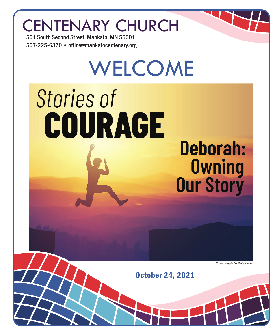## CENTENARY CHURCH

501 South Second Street, Mankato, MN 56001 507-225-6370 • office@mankatocentenary.org

# WELCOME **Stories of** COURAGE **Deborah: Owning**<br>**Our Story**

*Cover image by Kylie Beran*

October 24, 2021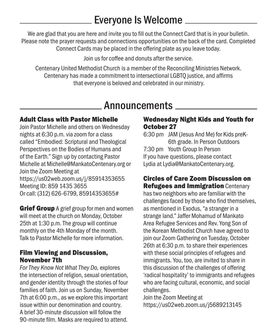## Everyone Is Welcome

We are glad that you are here and invite you to fill out the Connect Card that is in your bulletin. Please note the prayer requests and connections opportunities on the back of the card. Completed Connect Cards may be placed in the offering plate as you leave today.

Join us for coffee and donuts after the service.

Centenary United Methodist Church is a member of the Reconciling Ministries Network. Centenary has made a commitment to intersectional LGBTQ justice, and affirms that everyone is beloved and celebrated in our ministry.

### **Announcements**

#### Adult Class with Pastor Michelle

Join Pastor Michelle and others on Wednesday nights at 6:30 p.m. via zoom for a class called "Embodied: Scriptural and Theological Perspectives on the Bodies of Humans and of the Earth." Sign up by contacting Pastor Michelle at Michelle@MankatoCentenary.org or Join the Zoom Meeting at https://us02web.zoom.us/j/85914353655 Meeting ID: 859 1435 3655 Or call: (312) 626-6799, 85914353655#

**Grief Group** A grief group for men and women will meet at the church on Monday, October 25th at 1:30 p.m. The group will continue monthly on the 4th Monday of the month. Talk to Pastor Michelle for more information.

#### Film Viewing and Discussion, November 7th

*For They Know Not What They Do,* explores the intersection of religion, sexual orientation, and gender identity through the stories of four families of faith. Join us on Sunday, November 7th at 6:00 p.m., as we explore this important issue within our denomination and country. A brief 30-minute discussion will follow the 90-minute film. Masks are required to attend.

#### Wednesday Night Kids and Youth for October 27

6:30 pm JAM (Jesus And Me) for Kids preK-6th grade. In Person Outdoors 7:30 pm Youth Group In Person If you have questions, please contact Lydia at Lydia@MankatoCentenary.org.

#### Circles of Care Zoom Discussion on Refugees and Immigration Centenary

has two neighbors who are familiar with the challenges faced by those who find themselves, as mentioned in Exodus, "a stranger in a strange land." Jaffer Mohamud of Mankato Area Refugee Services and Rev. Yong Son of the Korean Methodist Church have agreed to join our Zoom Gathering on Tuesday, October 26th at 6:30 p.m. to share their experiences with these social principles of refugees and immigrants. You, too, are invited to share in this discussion of the challenges of offering 'radical hospitality' to immigrants and refugees who are facing cultural, economic, and social challenges.

Join the Zoom Meeting at https://us02web.zoom.us/j5689213145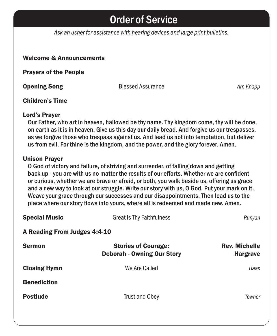## Order of Service

*Ask an usher for assistance with hearing devices and large print bulletins.*

#### Welcome & Announcements

Prayers of the People

**Opening Song Community Community Blessed Assurance** *Arr. Knapp* Arr. Knapp

#### Children's Time

#### Lord's Prayer

Our Father, who art in heaven, hallowed be thy name. Thy kingdom come, thy will be done, on earth as it is in heaven. Give us this day our daily bread. And forgive us our trespasses, as we forgive those who trespass against us. And lead us not into temptation, but deliver us from evil. For thine is the kingdom, and the power, and the glory forever. Amen.

#### Unison Prayer

O God of victory and failure, of striving and surrender, of falling down and getting back up - you are with us no matter the results of our efforts. Whether we are confident or curious, whether we are brave or afraid, or both, you walk beside us, offering us grace and a new way to look at our struggle. Write our story with us, O God. Put your mark on it. Weave your grace through our successes and our disappointments. Then lead us to the place where our story flows into yours, where all is redeemed and made new. Amen.

| <b>Special Music</b>         | <b>Great Is Thy Faithfulness</b>                                | Runyan                                  |  |
|------------------------------|-----------------------------------------------------------------|-----------------------------------------|--|
| A Reading From Judges 4:4-10 |                                                                 |                                         |  |
| <b>Sermon</b>                | <b>Stories of Courage:</b><br><b>Deborah - Owning Our Story</b> | <b>Rev. Michelle</b><br><b>Hargrave</b> |  |
| <b>Closing Hymn</b>          | We Are Called                                                   | Haas                                    |  |
| <b>Benediction</b>           |                                                                 |                                         |  |
| <b>Postlude</b>              | <b>Trust and Obey</b>                                           | Towner                                  |  |
|                              |                                                                 |                                         |  |